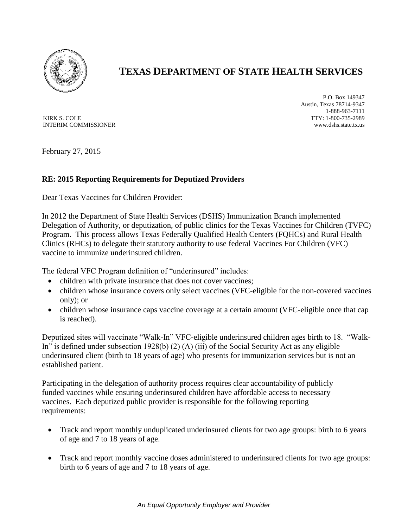

## **TEXAS DEPARTMENT OF STATE HEALTH SERVICES**

KIRK S. COLE INTERIM COMMISSIONER

P.O. Box 149347 Austin, Texas 78714-9347 1-888-963-7111 TTY: 1-800-735-2989 www.dshs.state.tx.us

February 27, 2015

## **RE: 2015 Reporting Requirements for Deputized Providers**

Dear Texas Vaccines for Children Provider:

In 2012 the Department of State Health Services (DSHS) Immunization Branch implemented Delegation of Authority, or deputization, of public clinics for the Texas Vaccines for Children (TVFC) Program. This process allows Texas Federally Qualified Health Centers (FQHCs) and Rural Health Clinics (RHCs) to delegate their statutory authority to use federal Vaccines For Children (VFC) vaccine to immunize underinsured children.

The federal VFC Program definition of "underinsured" includes:

- children with private insurance that does not cover vaccines;
- children whose insurance covers only select vaccines (VFC-eligible for the non-covered vaccines only); or
- children whose insurance caps vaccine coverage at a certain amount (VFC-eligible once that cap is reached).

Deputized sites will vaccinate "Walk-In" VFC-eligible underinsured children ages birth to 18. "Walk-In" is defined under subsection 1928(b) (2) (A) (iii) of the Social Security Act as any eligible underinsured client (birth to 18 years of age) who presents for immunization services but is not an established patient.

Participating in the delegation of authority process requires clear accountability of publicly funded vaccines while ensuring underinsured children have affordable access to necessary vaccines. Each deputized public provider is responsible for the following reporting requirements:

- Track and report monthly unduplicated underinsured clients for two age groups: birth to 6 years of age and 7 to 18 years of age.
- Track and report monthly vaccine doses administered to underinsured clients for two age groups: birth to 6 years of age and 7 to 18 years of age.